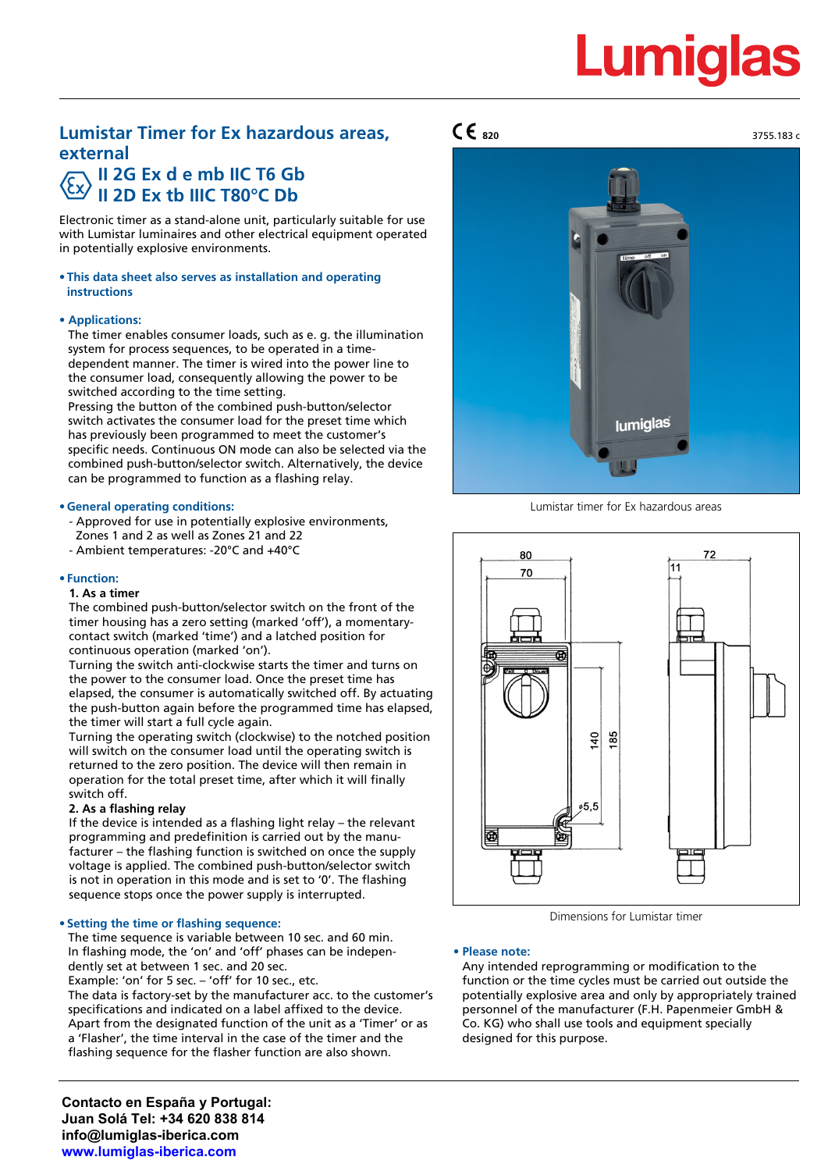# **Lumigla**

# **Lumistar Timer for Ex hazardous areas, external II 2G Ex d e mb IIC T6 Gb**

# **II 2D Ex tb IIIC T80°C Db**

Electronic timer as a stand-alone unit, particularly suitable for use with Lumistar luminaires and other electrical equipment operated in potentially explosive environments.

#### **• This data sheet also serves as installation and operating instructions**

#### **• Applications:**

The timer enables consumer loads, such as e. g. the illumination system for process sequences, to be operated in a timedependent manner. The timer is wired into the power line to the consumer load, consequently allowing the power to be switched according to the time setting.

Pressing the button of the combined push-button/selector switch activates the consumer load for the preset time which has previously been programmed to meet the customer's specific needs. Continuous ON mode can also be selected via the combined push-button/selector switch. Alternatively, the device can be programmed to function as a flashing relay.

#### **• General operating conditions:**

- Approved for use in potentially explosive environments, Zones 1 and 2 as well as Zones 21 and 22
- Ambient temperatures: -20°C and +40°C

#### **• Function:**

#### **1. As a timer**

The combined push-button/selector switch on the front of the timer housing has a zero setting (marked 'off'), a momentarycontact switch (marked 'time') and a latched position for continuous operation (marked 'on').

Turning the switch anti-clockwise starts the timer and turns on the power to the consumer load. Once the preset time has elapsed, the consumer is automatically switched off. By actuating the push-button again before the programmed time has elapsed, the timer will start a full cycle again.

Turning the operating switch (clockwise) to the notched position will switch on the consumer load until the operating switch is returned to the zero position. The device will then remain in operation for the total preset time, after which it will finally switch off.

#### **2. As a flashing relay**

If the device is intended as a flashing light relay – the relevant programming and predefinition is carried out by the manufacturer – the flashing function is switched on once the supply voltage is applied. The combined push-button/selector switch is not in operation in this mode and is set to '0'. The flashing sequence stops once the power supply is interrupted.

#### **• Setting the time or flashing sequence:**

The time sequence is variable between 10 sec. and 60 min. In flashing mode, the 'on' and 'off' phases can be independently set at between 1 sec. and 20 sec.

Example: 'on' for 5 sec. – 'off' for 10 sec., etc.

The data is factory-set by the manufacturer acc. to the customer's specifications and indicated on a label affixed to the device. Apart from the designated function of the unit as a 'Timer' or as a 'Flasher', the time interval in the case of the timer and the flashing sequence for the flasher function are also shown.

**Contacto en España y Portugal: Juan Solá Tel: +34 620 838 814 info@lumiglas-iberica.com www.lumiglas-iberica.com**

### $\mathsf{CE}_{820}$  3755.183 c



Lumistar timer for Ex hazardous areas



Dimensions for Lumistar timer

#### **• Please note:**

Any intended reprogramming or modification to the function or the time cycles must be carried out outside the potentially explosive area and only by appropriately trained personnel of the manufacturer (F.H. Papenmeier GmbH & Co. KG) who shall use tools and equipment specially designed for this purpose.